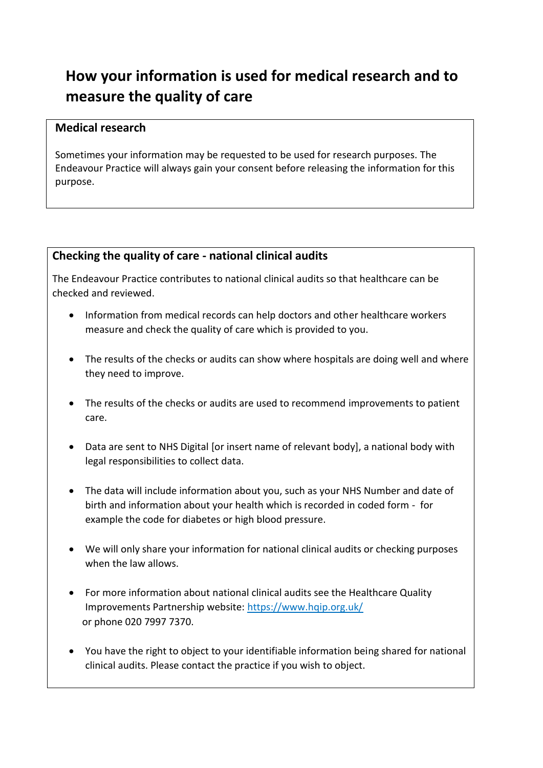## **How your information is used for medical research and to measure the quality of care**

## **Medical research**

Sometimes your information may be requested to be used for research purposes. The Endeavour Practice will always gain your consent before releasing the information for this purpose.

## **Checking the quality of care - national clinical audits**

The Endeavour Practice contributes to national clinical audits so that healthcare can be checked and reviewed.

- Information from medical records can help doctors and other healthcare workers measure and check the quality of care which is provided to you.
- The results of the checks or audits can show where hospitals are doing well and where they need to improve.
- The results of the checks or audits are used to recommend improvements to patient care.
- Data are sent to NHS Digital [or insert name of relevant body], a national body with legal responsibilities to collect data.
- The data will include information about you, such as your NHS Number and date of birth and information about your health which is recorded in coded form - for example the code for diabetes or high blood pressure.
- We will only share your information for national clinical audits or checking purposes when the law allows.
- For more information about national clinical audits see the Healthcare Quality Improvements Partnership website: <https://www.hqip.org.uk/> or phone 020 7997 7370.
- You have the right to object to your identifiable information being shared for national clinical audits. Please contact the practice if you wish to object.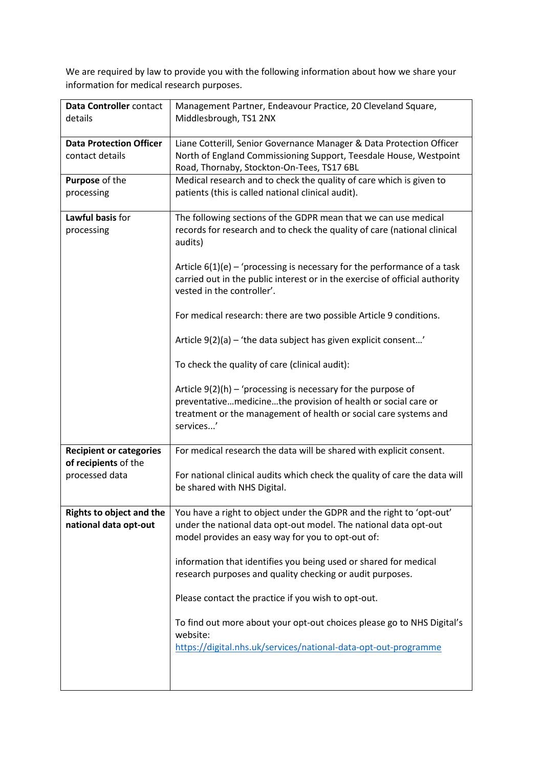We are required by law to provide you with the following information about how we share your information for medical research purposes.

| Data Controller contact<br>details                       | Management Partner, Endeavour Practice, 20 Cleveland Square,<br>Middlesbrough, TS1 2NX                                                                                                                                                                                                                                                            |
|----------------------------------------------------------|---------------------------------------------------------------------------------------------------------------------------------------------------------------------------------------------------------------------------------------------------------------------------------------------------------------------------------------------------|
| <b>Data Protection Officer</b><br>contact details        | Liane Cotterill, Senior Governance Manager & Data Protection Officer<br>North of England Commissioning Support, Teesdale House, Westpoint<br>Road, Thornaby, Stockton-On-Tees, TS17 6BL                                                                                                                                                           |
| Purpose of the<br>processing                             | Medical research and to check the quality of care which is given to<br>patients (this is called national clinical audit).                                                                                                                                                                                                                         |
| Lawful basis for<br>processing                           | The following sections of the GDPR mean that we can use medical<br>records for research and to check the quality of care (national clinical<br>audits)<br>Article $6(1)(e)$ – 'processing is necessary for the performance of a task<br>carried out in the public interest or in the exercise of official authority<br>vested in the controller'. |
|                                                          | For medical research: there are two possible Article 9 conditions.<br>Article 9(2)(a) - 'the data subject has given explicit consent'                                                                                                                                                                                                             |
|                                                          | To check the quality of care (clinical audit):                                                                                                                                                                                                                                                                                                    |
|                                                          | Article $9(2)(h)$ – 'processing is necessary for the purpose of<br>preventativemedicinethe provision of health or social care or<br>treatment or the management of health or social care systems and<br>services'                                                                                                                                 |
| <b>Recipient or categories</b><br>of recipients of the   | For medical research the data will be shared with explicit consent.                                                                                                                                                                                                                                                                               |
| processed data                                           | For national clinical audits which check the quality of care the data will<br>be shared with NHS Digital.                                                                                                                                                                                                                                         |
| <b>Rights to object and the</b><br>national data opt-out | You have a right to object under the GDPR and the right to 'opt-out'<br>under the national data opt-out model. The national data opt-out<br>model provides an easy way for you to opt-out of:                                                                                                                                                     |
|                                                          | information that identifies you being used or shared for medical<br>research purposes and quality checking or audit purposes.                                                                                                                                                                                                                     |
|                                                          | Please contact the practice if you wish to opt-out.                                                                                                                                                                                                                                                                                               |
|                                                          | To find out more about your opt-out choices please go to NHS Digital's<br>website:<br>https://digital.nhs.uk/services/national-data-opt-out-programme                                                                                                                                                                                             |
|                                                          |                                                                                                                                                                                                                                                                                                                                                   |